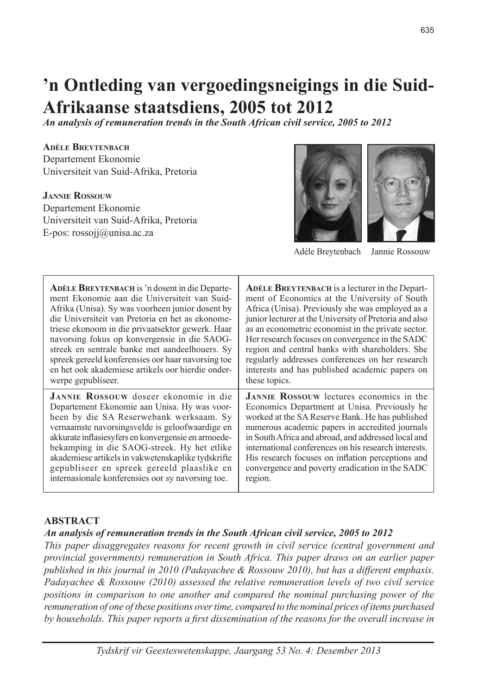# **'n Ontleding van vergoedingsneigings in die Suid-Afrikaanse staatsdiens, 2005 tot 2012**

*An analysis of remuneration trends in the South African civil service, 2005 to 2012*

### **Adèle Breytenbach**

Departement Ekonomie Universiteit van Suid-Afrika, Pretoria

### **Jannie Rossouw**

Departement Ekonomie Universiteit van Suid-Afrika, Pretoria E-pos: rossojj@unisa.ac.za



Adèle Breytenbach Jannie Rossouw

| <b>ADÈLE BREYTENBACH</b> is 'n dosent in die Departe- | <b>ADÈLE BREYTENBACH</b> is a lecturer in the Depart-  |
|-------------------------------------------------------|--------------------------------------------------------|
| ment Ekonomie aan die Universiteit van Suid-          | ment of Economics at the University of South           |
| Afrika (Unisa). Sy was voorheen junior dosent by      | Africa (Unisa). Previously she was employed as a       |
| die Universiteit van Pretoria en het as ekonome-      | junior lecturer at the University of Pretoria and also |
| triese ekonoom in die privaatsektor gewerk. Haar      | as an econometric economist in the private sector.     |
| navorsing fokus op konvergensie in die SAOG-          | Her research focuses on convergence in the SADC        |
| streek en sentrale banke met aandeelhouers. Sy        | region and central banks with shareholders. She        |
| spreek gereeld konferensies oor haar navorsing toe    | regularly addresses conferences on her research        |
| en het ook akademiese artikels oor hierdie onder-     | interests and has published academic papers on         |
| werpe gepubliseer.                                    | these topics.                                          |
| <b>JANNIE ROSSOUW</b> doseer ekonomie in die          | <b>JANNIE ROSSOUW</b> lectures economics in the        |
| Departement Ekonomie aan Unisa. Hy was voor-          | Economics Department at Unisa. Previously he           |
| heen by die SA Reserwebank werksaam. Sy               | worked at the SA Reserve Bank. He has published        |
| vernaamste navorsingsvelde is geloofwaardige en       | numerous academic papers in accredited journals        |
| akkurate inflasiesyfers en konvergensie en armoede-   | in South Africa and abroad, and addressed local and    |
| bekamping in die SAOG-streek. Hy het etlike           | international conferences on his research interests.   |
| akademiese artikels in vakwetenskaplike tydskrifte    | His research focuses on inflation perceptions and      |
| gepubliseer en spreek gereeld plaaslike en            | convergence and poverty eradication in the SADC        |
| internasionale konferensies oor sy navorsing toe.     | region.                                                |

### **ABSTRACT**

### *An analysis of remuneration trends in the South African civil service, 2005 to 2012*

*This paper disaggregates reasons for recent growth in civil service (central government and provincial governments) remuneration in South Africa. This paper draws on an earlier paper published in this journal in 2010 (Padayachee & Rossouw 2010), but has a different emphasis. Padayachee & Rossouw (2010) assessed the relative remuneration levels of two civil service positions in comparison to one another and compared the nominal purchasing power of the remuneration of one of these positions over time, compared to the nominal prices of items purchased by households. This paper reports a first dissemination of the reasons for the overall increase in*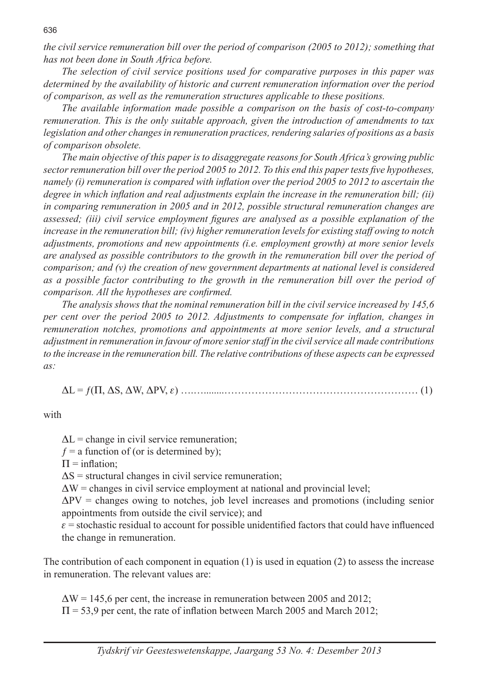*the civil service remuneration bill over the period of comparison (2005 to 2012); something that has not been done in South Africa before.*

*The selection of civil service positions used for comparative purposes in this paper was determined by the availability of historic and current remuneration information over the period of comparison, as well as the remuneration structures applicable to these positions.*

*The available information made possible a comparison on the basis of cost-to-company remuneration. This is the only suitable approach, given the introduction of amendments to tax legislation and other changes in remuneration practices, rendering salaries of positions as a basis of comparison obsolete.*

*The main objective of this paper is to disaggregate reasons for South Africa's growing public sector remuneration bill over the period 2005 to 2012. To this end this paper tests five hypotheses, namely (i) remuneration is compared with inflation over the period 2005 to 2012 to ascertain the degree in which inflation and real adjustments explain the increase in the remuneration bill; (ii) in comparing remuneration in 2005 and in 2012, possible structural remuneration changes are assessed; (iii) civil service employment figures are analysed as a possible explanation of the increase in the remuneration bill; (iv) higher remuneration levels for existing staff owing to notch adjustments, promotions and new appointments (i.e. employment growth) at more senior levels are analysed as possible contributors to the growth in the remuneration bill over the period of comparison; and (v) the creation of new government departments at national level is considered as a possible factor contributing to the growth in the remuneration bill over the period of comparison. All the hypotheses are confirmed.*

*The analysis shows that the nominal remuneration bill in the civil service increased by 145,6 per cent over the period 2005 to 2012. Adjustments to compensate for inflation, changes in remuneration notches, promotions and appointments at more senior levels, and a structural adjustment in remuneration in favour of more senior staff in the civil service all made contributions to the increase in the remuneration bill. The relative contributions of these aspects can be expressed as:*

DL = ƒ(P, DS, DW, DPV, e) ….…........………………………………………………… (1)

with

 $\Delta L$  = change in civil service remuneration;

 $f = a$  function of (or is determined by);

 $\Pi$  = inflation:

 $\Delta S$  = structural changes in civil service remuneration;

 $\Delta W$  = changes in civil service employment at national and provincial level;

 $\Delta PV$  = changes owing to notches, job level increases and promotions (including senior appointments from outside the civil service); and

 $\varepsilon$  = stochastic residual to account for possible unidentified factors that could have influenced the change in remuneration.

The contribution of each component in equation  $(1)$  is used in equation  $(2)$  to assess the increase in remuneration. The relevant values are:

 $\Delta W$  = 145,6 per cent, the increase in remuneration between 2005 and 2012;  $\Pi$  = 53,9 per cent, the rate of inflation between March 2005 and March 2012;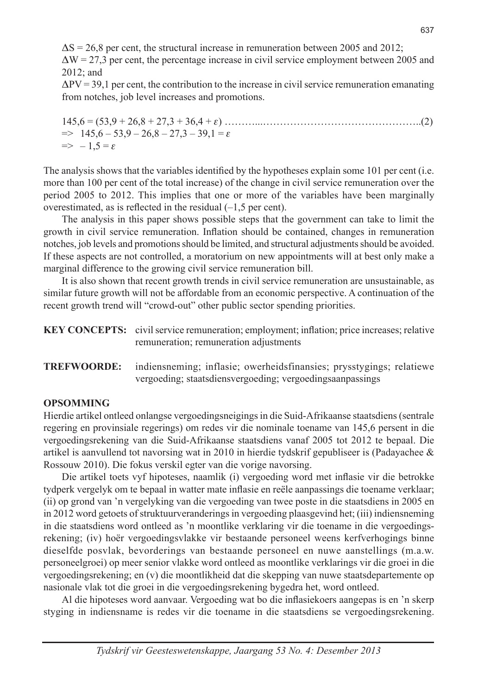$\Delta S = 26.8$  per cent, the structural increase in remuneration between 2005 and 2012;  $\Delta W = 27.3$  per cent, the percentage increase in civil service employment between 2005 and 2012; and

 $\Delta$ PV = 39,1 per cent, the contribution to the increase in civil service remuneration emanating from notches, job level increases and promotions.

145,6 = (53,9 + 26,8 + 27,3 + 36,4 + e) ………...………………………………………..(2)  $\Rightarrow$  145,6 – 53,9 – 26,8 – 27,3 – 39,1 =  $\varepsilon$  $\Rightarrow -1.5 = \epsilon$ 

The analysis shows that the variables identified by the hypotheses explain some 101 per cent (i.e. more than 100 per cent of the total increase) of the change in civil service remuneration over the period 2005 to 2012. This implies that one or more of the variables have been marginally overestimated, as is reflected in the residual (–1,5 per cent).

The analysis in this paper shows possible steps that the government can take to limit the growth in civil service remuneration. Inflation should be contained, changes in remuneration notches, job levels and promotions should be limited, and structural adjustments should be avoided. If these aspects are not controlled, a moratorium on new appointments will at best only make a marginal difference to the growing civil service remuneration bill.

It is also shown that recent growth trends in civil service remuneration are unsustainable, as similar future growth will not be affordable from an economic perspective. A continuation of the recent growth trend will "crowd-out" other public sector spending priorities.

|                    | <b>KEY CONCEPTS:</b> civil service remuneration; employment; inflation; price increases; relative<br>remuneration; remuneration adjustments |
|--------------------|---------------------------------------------------------------------------------------------------------------------------------------------|
| <b>TREFWOORDE:</b> | indiensneming; inflasie; owerheidsfinansies; prysstygings; relatiewe<br>vergoeding; staatsdiensvergoeding; vergoedingsaanpassings           |

### **OPSOMMING**

Hierdie artikel ontleed onlangse vergoedingsneigings in die Suid-Afrikaanse staatsdiens (sentrale regering en provinsiale regerings) om redes vir die nominale toename van 145,6 persent in die vergoedingsrekening van die Suid-Afrikaanse staatsdiens vanaf 2005 tot 2012 te bepaal. Die artikel is aanvullend tot navorsing wat in 2010 in hierdie tydskrif gepubliseer is (Padayachee  $\&$ Rossouw 2010). Die fokus verskil egter van die vorige navorsing.

Die artikel toets vyf hipoteses, naamlik (i) vergoeding word met inflasie vir die betrokke tydperk vergelyk om te bepaal in watter mate inflasie en reële aanpassings die toename verklaar; (ii) op grond van 'n vergelyking van die vergoeding van twee poste in die staatsdiens in 2005 en in 2012 word getoets of struktuurveranderings in vergoeding plaasgevind het; (iii) indiensneming in die staatsdiens word ontleed as 'n moontlike verklaring vir die toename in die vergoedingsrekening; (iv) hoër vergoedingsvlakke vir bestaande personeel weens kerfverhogings binne dieselfde posvlak, bevorderings van bestaande personeel en nuwe aanstellings (m.a.w. personeelgroei) op meer senior vlakke word ontleed as moontlike verklarings vir die groei in die vergoedingsrekening; en (v) die moontlikheid dat die skepping van nuwe staatsdepartemente op nasionale vlak tot die groei in die vergoedingsrekening bygedra het, word ontleed.

Al die hipoteses word aanvaar. Vergoeding wat bo die inflasiekoers aangepas is en 'n skerp styging in indiensname is redes vir die toename in die staatsdiens se vergoedingsrekening.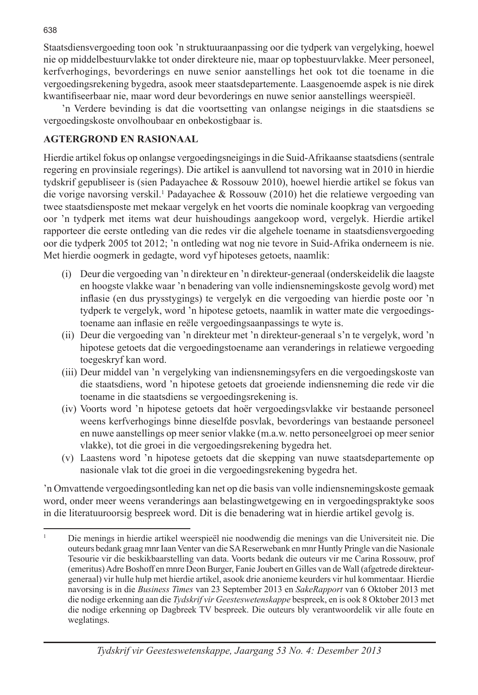Staatsdiensvergoeding toon ook 'n struktuuraanpassing oor die tydperk van vergelyking, hoewel nie op middelbestuurvlakke tot onder direkteure nie, maar op topbestuurvlakke. Meer personeel, kerfverhogings, bevorderings en nuwe senior aanstellings het ook tot die toename in die vergoedingsrekening bygedra, asook meer staatsdepartemente. Laasgenoemde aspek is nie direk kwantifiseerbaar nie, maar word deur bevorderings en nuwe senior aanstellings weerspieël.

'n Verdere bevinding is dat die voortsetting van onlangse neigings in die staatsdiens se vergoedingskoste onvolhoubaar en onbekostigbaar is.

## **AGTERGROND EN RASIONAAL**

Hierdie artikel fokus op onlangse vergoedingsneigings in die Suid-Afrikaanse staatsdiens (sentrale regering en provinsiale regerings). Die artikel is aanvullend tot navorsing wat in 2010 in hierdie tydskrif gepubliseer is (sien Padayachee & Rossouw 2010), hoewel hierdie artikel se fokus van die vorige navorsing verskil.<sup>1</sup> Padayachee & Rossouw (2010) het die relatiewe vergoeding van twee staatsdiensposte met mekaar vergelyk en het voorts die nominale koopkrag van vergoeding oor 'n tydperk met items wat deur huishoudings aangekoop word, vergelyk. Hierdie artikel rapporteer die eerste ontleding van die redes vir die algehele toename in staatsdiensvergoeding oor die tydperk 2005 tot 2012; 'n ontleding wat nog nie tevore in Suid-Afrika onderneem is nie. Met hierdie oogmerk in gedagte, word vyf hipoteses getoets, naamlik:

- (i) Deur die vergoeding van 'n direkteur en 'n direkteur-generaal (onderskeidelik die laagste en hoogste vlakke waar 'n benadering van volle indiensnemingskoste gevolg word) met inflasie (en dus prysstygings) te vergelyk en die vergoeding van hierdie poste oor 'n tydperk te vergelyk, word 'n hipotese getoets, naamlik in watter mate die vergoedingstoename aan inflasie en reële vergoedingsaanpassings te wyte is.
- (ii) Deur die vergoeding van 'n direkteur met 'n direkteur-generaal s'n te vergelyk, word 'n hipotese getoets dat die vergoedingstoename aan veranderings in relatiewe vergoeding toegeskryf kan word.
- (iii) Deur middel van 'n vergelyking van indiensnemingsyfers en die vergoedingskoste van die staatsdiens, word 'n hipotese getoets dat groeiende indiensneming die rede vir die toename in die staatsdiens se vergoedingsrekening is.
- (iv) Voorts word 'n hipotese getoets dat hoër vergoedingsvlakke vir bestaande personeel weens kerfverhogings binne dieselfde posvlak, bevorderings van bestaande personeel en nuwe aanstellings op meer senior vlakke (m.a.w. netto personeelgroei op meer senior vlakke), tot die groei in die vergoedingsrekening bygedra het.
- (v) Laastens word 'n hipotese getoets dat die skepping van nuwe staatsdepartemente op nasionale vlak tot die groei in die vergoedingsrekening bygedra het.

'n Omvattende vergoedingsontleding kan net op die basis van volle indiensnemingskoste gemaak word, onder meer weens veranderings aan belastingwetgewing en in vergoedingspraktyke soos in die literatuuroorsig bespreek word. Dit is die benadering wat in hierdie artikel gevolg is.

<sup>1</sup> Die menings in hierdie artikel weerspieël nie noodwendig die menings van die Universiteit nie. Die outeurs bedank graag mnr Iaan Venter van die SA Reserwebank en mnr Huntly Pringle van die Nasionale Tesourie vir die beskikbaarstelling van data. Voorts bedank die outeurs vir me Carina Rossouw, prof (emeritus) Adre Boshoff en mnre Deon Burger, Fanie Joubert en Gilles van de Wall (afgetrede direkteurgeneraal) vir hulle hulp met hierdie artikel, asook drie anonieme keurders vir hul kommentaar. Hierdie navorsing is in die *Business Times* van 23 September 2013 en *SakeRapport* van 6 Oktober 2013 met die nodige erkenning aan die *Tydskrif vir Geesteswetenskappe* bespreek, en is ook 8 Oktober 2013 met die nodige erkenning op Dagbreek TV bespreek. Die outeurs bly verantwoordelik vir alle foute en weglatings.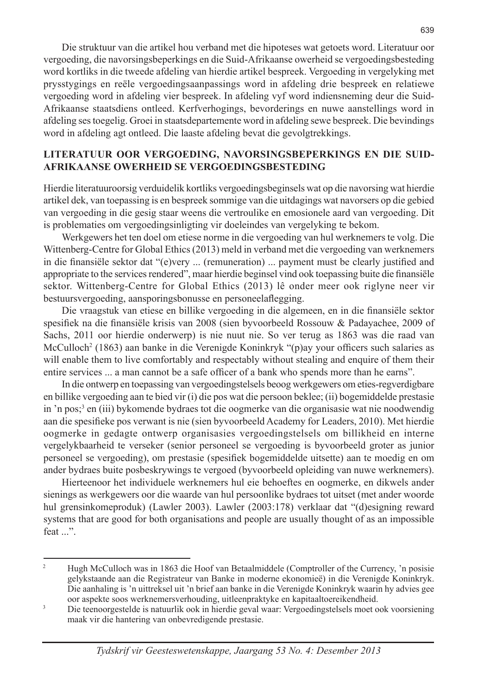Die struktuur van die artikel hou verband met die hipoteses wat getoets word. Literatuur oor vergoeding, die navorsingsbeperkings en die Suid-Afrikaanse owerheid se vergoedingsbesteding word kortliks in die tweede afdeling van hierdie artikel bespreek. Vergoeding in vergelyking met prysstygings en reële vergoedingsaanpassings word in afdeling drie bespreek en relatiewe vergoeding word in afdeling vier bespreek. In afdeling vyf word indiensneming deur die Suid-Afrikaanse staatsdiens ontleed. Kerfverhogings, bevorderings en nuwe aanstellings word in afdeling ses toegelig. Groei in staatsdepartemente word in afdeling sewe bespreek. Die bevindings word in afdeling agt ontleed. Die laaste afdeling bevat die gevolgtrekkings.

### **LITERATUUR OOR VERGOEDING, NAVORSINGSBEPERKINGS EN DIE SUID-AFRIKAANSE OWERHEID SE VERGOEDINGSBESTEDING**

Hierdie literatuuroorsig verduidelik kortliks vergoedingsbeginsels wat op die navorsing wat hierdie artikel dek, van toepassing is en bespreek sommige van die uitdagings wat navorsers op die gebied van vergoeding in die gesig staar weens die vertroulike en emosionele aard van vergoeding. Dit is problematies om vergoedingsinligting vir doeleindes van vergelyking te bekom.

Werkgewers het ten doel om etiese norme in die vergoeding van hul werknemers te volg. Die Wittenberg-Centre for Global Ethics (2013) meld in verband met die vergoeding van werknemers in die finansiële sektor dat "(e)very ... (remuneration) ... payment must be clearly justified and appropriate to the services rendered", maar hierdie beginsel vind ook toepassing buite die finansiële sektor. Wittenberg-Centre for Global Ethics (2013) lê onder meer ook riglyne neer vir bestuursvergoeding, aansporingsbonusse en personeelaflegging.

Die vraagstuk van etiese en billike vergoeding in die algemeen, en in die finansiële sektor spesifiek na die finansiële krisis van 2008 (sien byvoorbeeld Rossouw & Padayachee, 2009 of Sachs, 2011 oor hierdie onderwerp) is nie nuut nie. So ver terug as 1863 was die raad van McCulloch<sup>2</sup> (1863) aan banke in die Verenigde Koninkryk "(p)ay your officers such salaries as will enable them to live comfortably and respectably without stealing and enquire of them their entire services ... a man cannot be a safe officer of a bank who spends more than he earns".

In die ontwerp en toepassing van vergoedingstelsels beoog werkgewers om eties-regverdigbare en billike vergoeding aan te bied vir (i) die pos wat die persoon beklee; (ii) bogemiddelde prestasie in 'n pos;3 en (iii) bykomende bydraes tot die oogmerke van die organisasie wat nie noodwendig aan die spesifieke pos verwant is nie (sien byvoorbeeld Academy for Leaders, 2010). Met hierdie oogmerke in gedagte ontwerp organisasies vergoedingstelsels om billikheid en interne vergelykbaarheid te verseker (senior personeel se vergoeding is byvoorbeeld groter as junior personeel se vergoeding), om prestasie (spesifiek bogemiddelde uitsette) aan te moedig en om ander bydraes buite posbeskrywings te vergoed (byvoorbeeld opleiding van nuwe werknemers).

Hierteenoor het individuele werknemers hul eie behoeftes en oogmerke, en dikwels ander sienings as werkgewers oor die waarde van hul persoonlike bydraes tot uitset (met ander woorde hul grensinkomeproduk) (Lawler 2003). Lawler (2003:178) verklaar dat "(d)esigning reward systems that are good for both organisations and people are usually thought of as an impossible feat ...".

<sup>&</sup>lt;sup>2</sup> Hugh McCulloch was in 1863 die Hoof van Betaalmiddele (Comptroller of the Currency, 'n posisie gelykstaande aan die Registrateur van Banke in moderne ekonomieë) in die Verenigde Koninkryk. Die aanhaling is 'n uittreksel uit 'n brief aan banke in die Verenigde Koninkryk waarin hy advies gee oor aspekte soos werknemersverhouding, uitleenpraktyke en kapitaaltoereikendheid.

<sup>&</sup>lt;sup>3</sup> Die teenoorgestelde is natuurlik ook in hierdie geval waar: Vergoedingstelsels moet ook voorsiening maak vir die hantering van onbevredigende prestasie.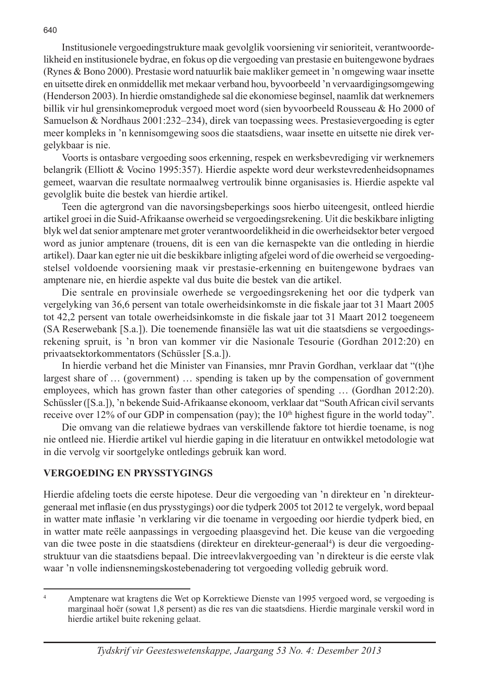Institusionele vergoedingstrukture maak gevolglik voorsiening vir senioriteit, verantwoordelikheid en institusionele bydrae, en fokus op die vergoeding van prestasie en buitengewone bydraes (Rynes & Bono 2000). Prestasie word natuurlik baie makliker gemeet in 'n omgewing waar insette en uitsette direk en onmiddellik met mekaar verband hou, byvoorbeeld 'n vervaardigingsomgewing (Henderson 2003). In hierdie omstandighede sal die ekonomiese beginsel, naamlik dat werknemers billik vir hul grensinkomeproduk vergoed moet word (sien byvoorbeeld Rousseau & Ho 2000 of Samuelson & Nordhaus 2001:232–234), direk van toepassing wees. Prestasievergoeding is egter meer kompleks in 'n kennisomgewing soos die staatsdiens, waar insette en uitsette nie direk vergelykbaar is nie.

Voorts is ontasbare vergoeding soos erkenning, respek en werksbevrediging vir werknemers belangrik (Elliott & Vocino 1995:357). Hierdie aspekte word deur werkstevredenheidsopnames gemeet, waarvan die resultate normaalweg vertroulik binne organisasies is. Hierdie aspekte val gevolglik buite die bestek van hierdie artikel.

Teen die agtergrond van die navorsingsbeperkings soos hierbo uiteengesit, ontleed hierdie artikel groei in die Suid-Afrikaanse owerheid se vergoedingsrekening. Uit die beskikbare inligting blyk wel dat senior amptenare met groter verantwoordelikheid in die owerheidsektor beter vergoed word as junior amptenare (trouens, dit is een van die kernaspekte van die ontleding in hierdie artikel). Daar kan egter nie uit die beskikbare inligting afgelei word of die owerheid se vergoedingstelsel voldoende voorsiening maak vir prestasie-erkenning en buitengewone bydraes van amptenare nie, en hierdie aspekte val dus buite die bestek van die artikel.

Die sentrale en provinsiale owerhede se vergoedingsrekening het oor die tydperk van vergelyking van 36,6 persent van totale owerheidsinkomste in die fiskale jaar tot 31 Maart 2005 tot 42,2 persent van totale owerheidsinkomste in die fiskale jaar tot 31 Maart 2012 toegeneem (SA Reserwebank [S.a.]). Die toenemende finansiële las wat uit die staatsdiens se vergoedingsrekening spruit, is 'n bron van kommer vir die Nasionale Tesourie (Gordhan 2012:20) en privaatsektorkommentators (Schüssler [S.a.]).

In hierdie verband het die Minister van Finansies, mnr Pravin Gordhan, verklaar dat "(t)he largest share of … (government) … spending is taken up by the compensation of government employees, which has grown faster than other categories of spending … (Gordhan 2012:20). Schüssler ([S.a.]), 'n bekende Suid-Afrikaanse ekonoom, verklaar dat "South African civil servants receive over 12% of our GDP in compensation (pay); the  $10<sup>th</sup>$  highest figure in the world today".

Die omvang van die relatiewe bydraes van verskillende faktore tot hierdie toename, is nog nie ontleed nie. Hierdie artikel vul hierdie gaping in die literatuur en ontwikkel metodologie wat in die vervolg vir soortgelyke ontledings gebruik kan word.

## **VERGOEDING EN PRYSSTYGINGS**

Hierdie afdeling toets die eerste hipotese. Deur die vergoeding van 'n direkteur en 'n direkteurgeneraal met inflasie (en dus prysstygings) oor die tydperk 2005 tot 2012 te vergelyk, word bepaal in watter mate inflasie 'n verklaring vir die toename in vergoeding oor hierdie tydperk bied, en in watter mate reële aanpassings in vergoeding plaasgevind het. Die keuse van die vergoeding van die twee poste in die staatsdiens (direkteur en direkteur-generaal<sup>4</sup>) is deur die vergoedingstruktuur van die staatsdiens bepaal. Die intreevlakvergoeding van 'n direkteur is die eerste vlak waar 'n volle indiensnemingskostebenadering tot vergoeding volledig gebruik word.

<sup>4</sup> Amptenare wat kragtens die Wet op Korrektiewe Dienste van 1995 vergoed word, se vergoeding is marginaal hoër (sowat 1,8 persent) as die res van die staatsdiens. Hierdie marginale verskil word in hierdie artikel buite rekening gelaat.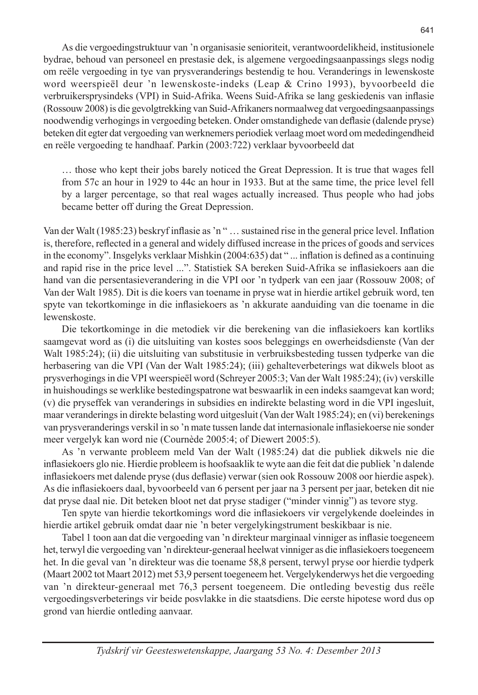As die vergoedingstruktuur van 'n organisasie senioriteit, verantwoordelikheid, institusionele bydrae, behoud van personeel en prestasie dek, is algemene vergoedingsaanpassings slegs nodig om reële vergoeding in tye van prysveranderings bestendig te hou. Veranderings in lewenskoste word weerspieël deur 'n lewenskoste-indeks (Leap & Crino 1993), byvoorbeeld die verbruikersprysindeks (VPI) in Suid-Afrika. Weens Suid-Afrika se lang geskiedenis van inflasie (Rossouw 2008) is die gevolgtrekking van Suid-Afrikaners normaalweg dat vergoedingsaanpassings noodwendig verhogings in vergoeding beteken. Onder omstandighede van deflasie (dalende pryse) beteken dit egter dat vergoeding van werknemers periodiek verlaag moet word om mededingendheid en reële vergoeding te handhaaf. Parkin (2003:722) verklaar byvoorbeeld dat

… those who kept their jobs barely noticed the Great Depression. It is true that wages fell from 57c an hour in 1929 to 44c an hour in 1933. But at the same time, the price level fell by a larger percentage, so that real wages actually increased. Thus people who had jobs became better off during the Great Depression.

Van der Walt (1985:23) beskryf inflasie as 'n " … sustained rise in the general price level. Inflation is, therefore, reflected in a general and widely diffused increase in the prices of goods and services in the economy". Insgelyks verklaar Mishkin (2004:635) dat " ... inflation is defined as a continuing and rapid rise in the price level ...". Statistiek SA bereken Suid-Afrika se inflasiekoers aan die hand van die persentasieverandering in die VPI oor 'n tydperk van een jaar (Rossouw 2008; of Van der Walt 1985). Dit is die koers van toename in pryse wat in hierdie artikel gebruik word, ten spyte van tekortkominge in die inflasiekoers as 'n akkurate aanduiding van die toename in die lewenskoste.

Die tekortkominge in die metodiek vir die berekening van die inflasiekoers kan kortliks saamgevat word as (i) die uitsluiting van kostes soos beleggings en owerheidsdienste (Van der Walt 1985:24); (ii) die uitsluiting van substitusie in verbruiksbesteding tussen tydperke van die herbasering van die VPI (Van der Walt 1985:24); (iii) gehalteverbeterings wat dikwels bloot as prysverhogings in die VPI weerspieël word (Schreyer 2005:3; Van der Walt 1985:24); (iv) verskille in huishoudings se werklike bestedingspatrone wat beswaarlik in een indeks saamgevat kan word; (v) die pryseffek van veranderings in subsidies en indirekte belasting word in die VPI ingesluit, maar veranderings in direkte belasting word uitgesluit (Van der Walt 1985:24); en (vi) berekenings van prysveranderings verskil in so 'n mate tussen lande dat internasionale inflasiekoerse nie sonder meer vergelyk kan word nie (Cournède 2005:4; of Diewert 2005:5).

As 'n verwante probleem meld Van der Walt (1985:24) dat die publiek dikwels nie die inflasiekoers glo nie. Hierdie probleem is hoofsaaklik te wyte aan die feit dat die publiek 'n dalende inflasiekoers met dalende pryse (dus deflasie) verwar (sien ook Rossouw 2008 oor hierdie aspek). As die inflasiekoers daal, byvoorbeeld van 6 persent per jaar na 3 persent per jaar, beteken dit nie dat pryse daal nie. Dit beteken bloot net dat pryse stadiger ("minder vinnig") as tevore styg.

Ten spyte van hierdie tekortkomings word die inflasiekoers vir vergelykende doeleindes in hierdie artikel gebruik omdat daar nie 'n beter vergelykingstrument beskikbaar is nie.

Tabel 1 toon aan dat die vergoeding van 'n direkteur marginaal vinniger as inflasie toegeneem het, terwyl die vergoeding van 'n direkteur-generaal heelwat vinniger as die inflasiekoers toegeneem het. In die geval van 'n direkteur was die toename 58,8 persent, terwyl pryse oor hierdie tydperk (Maart 2002 tot Maart 2012) met 53,9 persent toegeneem het. Vergelykenderwys het die vergoeding van 'n direkteur-generaal met 76,3 persent toegeneem. Die ontleding bevestig dus reële vergoedingsverbeterings vir beide posvlakke in die staatsdiens. Die eerste hipotese word dus op grond van hierdie ontleding aanvaar.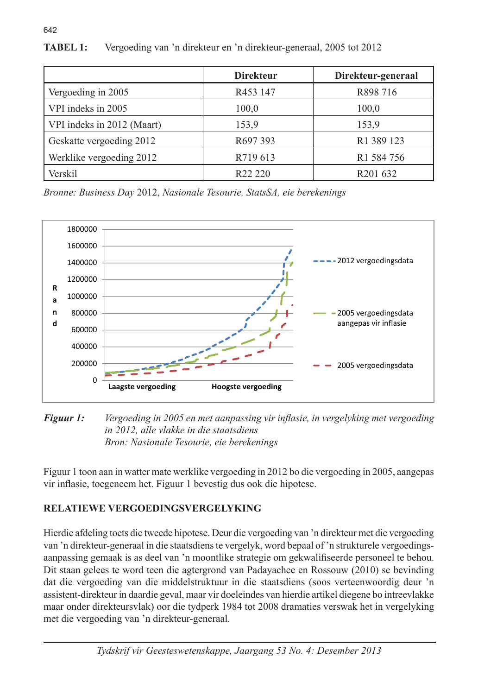|                            | <b>Direkteur</b>    | Direkteur-generaal     |
|----------------------------|---------------------|------------------------|
| Vergoeding in 2005         | R453 147            | R898 716               |
| VPI indeks in 2005         | 100,0               | 100,0                  |
| VPI indeks in 2012 (Maart) | 153,9               | 153,9                  |
| Geskatte vergoeding 2012   | R697 393            | R <sub>1</sub> 389 123 |
| Werklike vergoeding 2012   | R719 613            | R <sub>1</sub> 584 756 |
| Verskil                    | R <sub>22</sub> 220 | R <sub>201</sub> 632   |

TABEL 1: Vergoeding van 'n direkteur en 'n direkteur-generaal, 2005 tot 2012

*Bronne: Business Day* 2012, *Nasionale Tesourie, StatsSA, eie berekenings*



### *Figuur 1: Vergoeding in 2005 en met aanpassing vir inflasie, in vergelyking met Figuur 1: Vergoeding in 2005 en met aanpassing vir inflasie, in vergelyking met vergoeding vergoeding in 2012, alle vlakke in die staatsdiens Bron: Nasionale Tesourie, eie berekeningsin 2012, alle vlakke in die staatsdiens*

Figuur 1 toon aan in watter mate werklike vergoeding in 2012 bo die vergoeding in 2005, aangepas vir inflasie, toegeneem het. Figuur 1 bevestig dus ook die hipotese.

# RELATIEWE VERGOEDINGSVERGELYKING

Hierdie afdeling toets die tweede hipotese. Deur die vergoeding van 'n direkteur met die vergoeding van 'n direkteur-generaal in die staatsdiens te vergelyk, word bepaal of 'n strukturele vergoedingsaanpassing gemaak is as deel van 'n moontlike strategie om gekwalifiseerde personeel te behou. Dit staan gelees te word teen die agtergrond van Padayachee en Rossouw (2010) se bevinding dat die vergoeding van die middelstruktuur in die staatsdiens (soos verteenwoordig deur 'n assistent-direkteur in daardie geval, maar vir doeleindes van hierdie artikel diegene bo intreevlakke maar onder direkteursvlak) oor die tydperk 1984 tot 2008 dramaties verswak het in vergelyking met die vergoeding van 'n direkteur-generaal.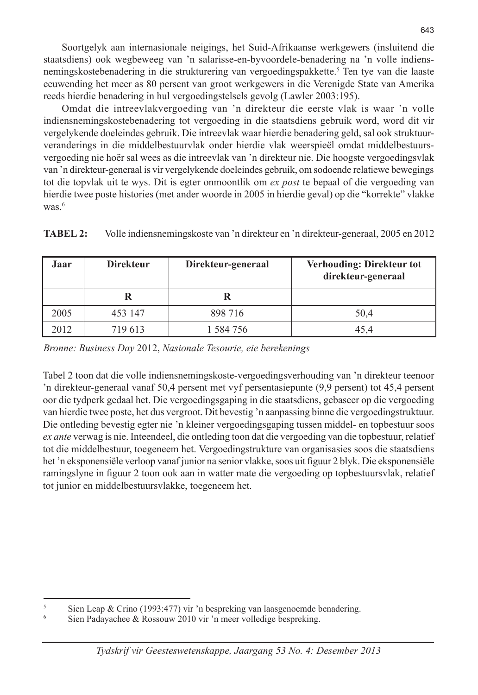Soortgelyk aan internasionale neigings, het Suid-Afrikaanse werkgewers (insluitend die staatsdiens) ook wegbeweeg van 'n salarisse-en-byvoordele-benadering na 'n volle indiensnemingskostebenadering in die strukturering van vergoedingspakkette.<sup>5</sup> Ten tye van die laaste eeuwending het meer as 80 persent van groot werkgewers in die Verenigde State van Amerika reeds hierdie benadering in hul vergoedingstelsels gevolg (Lawler 2003:195).

Omdat die intreevlakvergoeding van 'n direkteur die eerste vlak is waar 'n volle indiensnemingskostebenadering tot vergoeding in die staatsdiens gebruik word, word dit vir vergelykende doeleindes gebruik. Die intreevlak waar hierdie benadering geld, sal ook struktuurveranderings in die middelbestuurvlak onder hierdie vlak weerspieël omdat middelbestuursvergoeding nie hoër sal wees as die intreevlak van 'n direkteur nie. Die hoogste vergoedingsvlak van 'n direkteur-generaal is vir vergelykende doeleindes gebruik, om sodoende relatiewe bewegings tot die topvlak uit te wys. Dit is egter onmoontlik om *ex post* te bepaal of die vergoeding van hierdie twee poste histories (met ander woorde in 2005 in hierdie geval) op die "korrekte" vlakke was $6$ 

**TABEL 2:** Volle indiensnemingskoste van 'n direkteur en 'n direkteur-generaal, 2005 en 2012

| Jaar | <b>Direkteur</b> | Direkteur-generaal | Verhouding: Direkteur tot<br>direkteur-generaal |
|------|------------------|--------------------|-------------------------------------------------|
|      |                  |                    |                                                 |
| 2005 | 453 147          | 898 716            | 50,4                                            |
| 2012 | 719 613          | 1 584 756          | 45.4                                            |

*Bronne: Business Day* 2012, *Nasionale Tesourie, eie berekenings*

Tabel 2 toon dat die volle indiensnemingskoste-vergoedingsverhouding van 'n direkteur teenoor 'n direkteur-generaal vanaf 50,4 persent met vyf persentasiepunte (9,9 persent) tot 45,4 persent oor die tydperk gedaal het. Die vergoedingsgaping in die staatsdiens, gebaseer op die vergoeding van hierdie twee poste, het dus vergroot. Dit bevestig 'n aanpassing binne die vergoedingstruktuur. Die ontleding bevestig egter nie 'n kleiner vergoedingsgaping tussen middel- en topbestuur soos *ex ante* verwag is nie. Inteendeel, die ontleding toon dat die vergoeding van die topbestuur, relatief tot die middelbestuur, toegeneem het. Vergoedingstrukture van organisasies soos die staatsdiens het 'n eksponensiële verloop vanaf junior na senior vlakke, soos uit figuur 2 blyk. Die eksponensiële ramingslyne in figuur 2 toon ook aan in watter mate die vergoeding op topbestuursvlak, relatief tot junior en middelbestuursvlakke, toegeneem het.

<sup>&</sup>lt;sup>5</sup> Sien Leap & Crino (1993:477) vir 'n bespreking van laasgenoemde benadering.<br> $\frac{6}{100}$  Sien Bedaugehee & Besseum 2010 vir 'n meer velledige begreeing.

Sien Padayachee & Rossouw 2010 vir 'n meer volledige bespreking.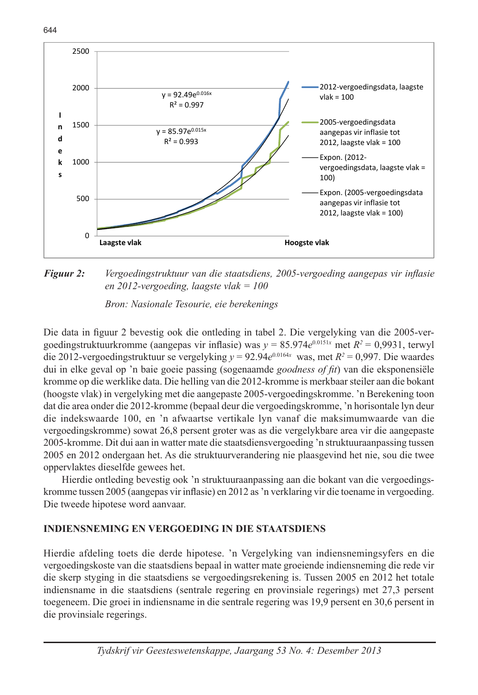644



**Figuur 2:** Vergoedingstruktuur van die staatsdiens, 2005-vergoeding aangepas vir inflasie *en 2012-vergoeding, laagste vlak = 100*

Bron: Nasionale Tesourie, eie berekenings

Die data in figuur 2 bevestig ook die ontleding in tabel 2. Die vergelyking van die 2005-vergoedingstruktuurkromme (aangepas vir inflasie) was  $y = 85.974e^{0.0151x}$  met  $R^2 = 0.9931$ , terwyl die 2012-vergoedingstruktuur se vergelyking *y* = 92.94*e*0.0164*<sup>x</sup>* was, met *R2* = 0,997. Die waardes dui in elke geval op 'n baie goeie passing (sogenaamde *goodness of fit*) van die eksponensiële kromme op die werklike data. Die helling van die 2012-kromme is merkbaar steiler aan die bokant (hoogste vlak) in vergelyking met die aangepaste 2005-vergoedingskromme. 'n Berekening toon dat die area onder die 2012-kromme (bepaal deur die vergoedingskromme, 'n horisontale lyn deur die indekswaarde 100, en 'n afwaartse vertikale lyn vanaf die maksimumwaarde van die vergoedingskromme) sowat 26,8 persent groter was as die vergelykbare area vir die aangepaste 2005-kromme. Dit dui aan in watter mate die staatsdiensvergoeding 'n struktuuraanpassing tussen 2005 en 2012 ondergaan het. As die struktuurverandering nie plaasgevind het nie, sou die twee oppervlaktes dieselfde gewees het.

Hierdie ontleding bevestig ook 'n struktuuraanpassing aan die bokant van die vergoedingskromme tussen 2005 (aangepas vir inflasie) en 2012 as 'n verklaring vir die toename in vergoeding. Die tweede hipotese word aanvaar.

## **INDIENSNEMING EN VERGOEDING IN DIE STAATSDIENS**

Hierdie afdeling toets die derde hipotese. 'n Vergelyking van indiensnemingsyfers en die vergoedingskoste van die staatsdiens bepaal in watter mate groeiende indiensneming die rede vir die skerp styging in die staatsdiens se vergoedingsrekening is. Tussen 2005 en 2012 het totale indiensname in die staatsdiens (sentrale regering en provinsiale regerings) met 27,3 persent toegeneem. Die groei in indiensname in die sentrale regering was 19,9 persent en 30,6 persent in die provinsiale regerings.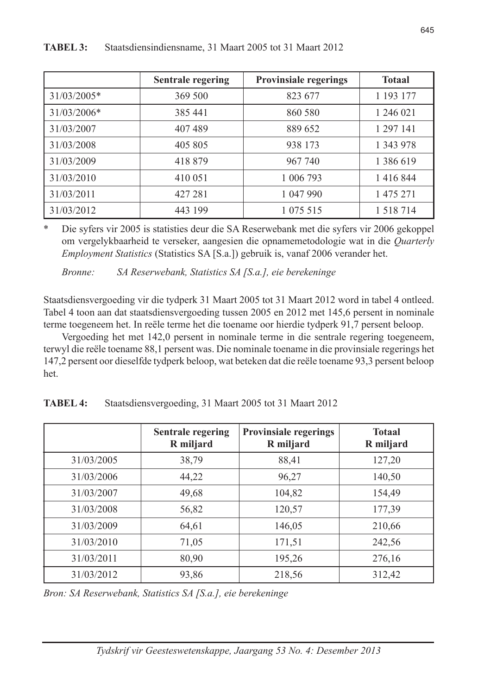|             | <b>Sentrale regering</b> | <b>Provinsiale regerings</b> | <b>Totaal</b> |
|-------------|--------------------------|------------------------------|---------------|
| 31/03/2005* | 369 500                  | 823 677                      | 1 193 177     |
| 31/03/2006* | 385 441                  | 860 580                      | 1 246 021     |
| 31/03/2007  | 407489                   | 889 652                      | 1 297 141     |
| 31/03/2008  | 405 805                  | 938 173                      | 1 343 978     |
| 31/03/2009  | 418 879                  | 967 740                      | 1 386 619     |
| 31/03/2010  | 410 051                  | 1 006 793                    | 1 4 1 6 8 4 4 |
| 31/03/2011  | 427 281                  | 1 047 990                    | 1 475 271     |
| 31/03/2012  | 443 199                  | 1 075 515                    | 1 5 1 8 7 1 4 |

### **TABEL 3:** Staatsdiensindiensname, 31 Maart 2005 tot 31 Maart 2012

\* Die syfers vir 2005 is statisties deur die SA Reserwebank met die syfers vir 2006 gekoppel om vergelykbaarheid te verseker, aangesien die opnamemetodologie wat in die *Quarterly Employment Statistics* (Statistics SA [S.a.]) gebruik is, vanaf 2006 verander het.

*Bronne: SA Reserwebank, Statistics SA [S.a.], eie berekeninge*

Staatsdiensvergoeding vir die tydperk 31 Maart 2005 tot 31 Maart 2012 word in tabel 4 ontleed. Tabel 4 toon aan dat staatsdiensvergoeding tussen 2005 en 2012 met 145,6 persent in nominale terme toegeneem het. In reële terme het die toename oor hierdie tydperk 91,7 persent beloop.

Vergoeding het met 142,0 persent in nominale terme in die sentrale regering toegeneem, terwyl die reële toename 88,1 persent was. Die nominale toename in die provinsiale regerings het 147,2 persent oor dieselfde tydperk beloop, wat beteken dat die reële toename 93,3 persent beloop het.

|            | <b>Sentrale regering</b><br>R miljard | <b>Provinsiale regerings</b><br>R miljard | <b>Totaal</b><br>R miljard |
|------------|---------------------------------------|-------------------------------------------|----------------------------|
| 31/03/2005 | 38,79                                 | 88,41                                     | 127,20                     |
| 31/03/2006 | 44,22                                 | 96,27                                     | 140,50                     |
| 31/03/2007 | 49,68                                 | 104,82                                    | 154,49                     |
| 31/03/2008 | 56,82                                 | 120,57                                    | 177,39                     |
| 31/03/2009 | 64,61                                 | 146,05                                    | 210,66                     |
| 31/03/2010 | 71,05                                 | 171,51                                    | 242,56                     |
| 31/03/2011 | 80,90                                 | 195,26                                    | 276,16                     |
| 31/03/2012 | 93,86                                 | 218,56                                    | 312,42                     |

**TABEL 4:** Staatsdiensvergoeding, 31 Maart 2005 tot 31 Maart 2012

*Bron: SA Reserwebank, Statistics SA [S.a.], eie berekeninge*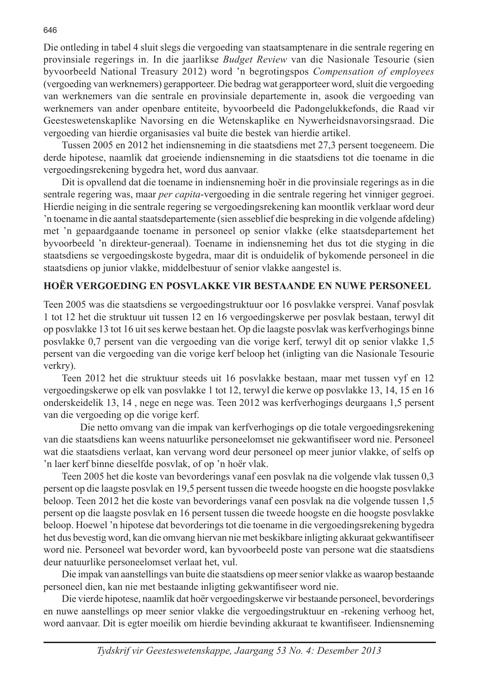Die ontleding in tabel 4 sluit slegs die vergoeding van staatsamptenare in die sentrale regering en provinsiale regerings in. In die jaarlikse *Budget Review* van die Nasionale Tesourie (sien byvoorbeeld National Treasury 2012) word 'n begrotingspos *Compensation of employees*  (vergoeding van werknemers) gerapporteer. Die bedrag wat gerapporteer word, sluit die vergoeding van werknemers van die sentrale en provinsiale departemente in, asook die vergoeding van werknemers van ander openbare entiteite, byvoorbeeld die Padongelukkefonds, die Raad vir Geesteswetenskaplike Navorsing en die Wetenskaplike en Nywerheidsnavorsingsraad. Die vergoeding van hierdie organisasies val buite die bestek van hierdie artikel.

Tussen 2005 en 2012 het indiensneming in die staatsdiens met 27,3 persent toegeneem. Die derde hipotese, naamlik dat groeiende indiensneming in die staatsdiens tot die toename in die vergoedingsrekening bygedra het, word dus aanvaar.

Dit is opvallend dat die toename in indiensneming hoër in die provinsiale regerings as in die sentrale regering was, maar *per capita*-vergoeding in die sentrale regering het vinniger gegroei. Hierdie neiging in die sentrale regering se vergoedingsrekening kan moontlik verklaar word deur 'n toename in die aantal staatsdepartemente (sien asseblief die bespreking in die volgende afdeling) met 'n gepaardgaande toename in personeel op senior vlakke (elke staatsdepartement het byvoorbeeld 'n direkteur-generaal). Toename in indiensneming het dus tot die styging in die staatsdiens se vergoedingskoste bygedra, maar dit is onduidelik of bykomende personeel in die staatsdiens op junior vlakke, middelbestuur of senior vlakke aangestel is.

## **HOËR VERGOEDING EN POSVLAKKE VIR BESTAANDE EN NUWE PERSONEEL**

Teen 2005 was die staatsdiens se vergoedingstruktuur oor 16 posvlakke versprei. Vanaf posvlak 1 tot 12 het die struktuur uit tussen 12 en 16 vergoedingskerwe per posvlak bestaan, terwyl dit op posvlakke 13 tot 16 uit ses kerwe bestaan het. Op die laagste posvlak was kerfverhogings binne posvlakke 0,7 persent van die vergoeding van die vorige kerf, terwyl dit op senior vlakke 1,5 persent van die vergoeding van die vorige kerf beloop het (inligting van die Nasionale Tesourie verkry).

Teen 2012 het die struktuur steeds uit 16 posvlakke bestaan, maar met tussen vyf en 12 vergoedingskerwe op elk van posvlakke 1 tot 12, terwyl die kerwe op posvlakke 13, 14, 15 en 16 onderskeidelik 13, 14 , nege en nege was. Teen 2012 was kerfverhogings deurgaans 1,5 persent van die vergoeding op die vorige kerf.

 Die netto omvang van die impak van kerfverhogings op die totale vergoedingsrekening van die staatsdiens kan weens natuurlike personeelomset nie gekwantifiseer word nie. Personeel wat die staatsdiens verlaat, kan vervang word deur personeel op meer junior vlakke, of selfs op 'n laer kerf binne dieselfde posvlak, of op 'n hoër vlak.

Teen 2005 het die koste van bevorderings vanaf een posvlak na die volgende vlak tussen 0,3 persent op die laagste posvlak en 19,5 persent tussen die tweede hoogste en die hoogste posvlakke beloop. Teen 2012 het die koste van bevorderings vanaf een posvlak na die volgende tussen 1,5 persent op die laagste posvlak en 16 persent tussen die tweede hoogste en die hoogste posvlakke beloop. Hoewel 'n hipotese dat bevorderings tot die toename in die vergoedingsrekening bygedra het dus bevestig word, kan die omvang hiervan nie met beskikbare inligting akkuraat gekwantifiseer word nie. Personeel wat bevorder word, kan byvoorbeeld poste van persone wat die staatsdiens deur natuurlike personeelomset verlaat het, vul.

Die impak van aanstellings van buite die staatsdiens op meer senior vlakke as waarop bestaande personeel dien, kan nie met bestaande inligting gekwantifiseer word nie.

Die vierde hipotese, naamlik dat hoër vergoedingskerwe vir bestaande personeel, bevorderings en nuwe aanstellings op meer senior vlakke die vergoedingstruktuur en -rekening verhoog het, word aanvaar. Dit is egter moeilik om hierdie bevinding akkuraat te kwantifiseer. Indiensneming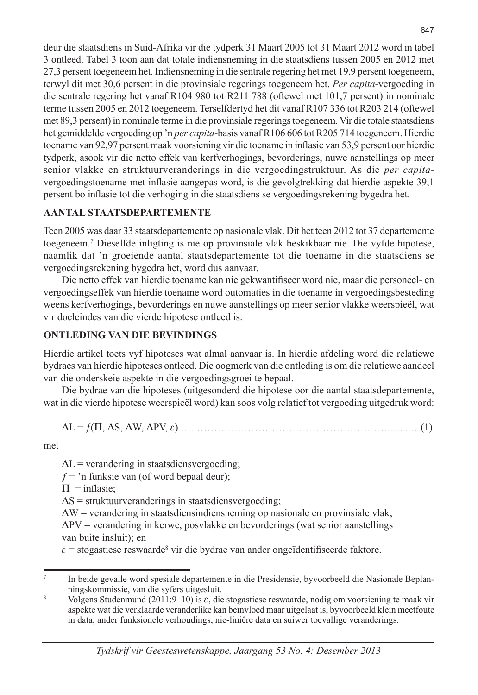deur die staatsdiens in Suid-Afrika vir die tydperk 31 Maart 2005 tot 31 Maart 2012 word in tabel 3 ontleed. Tabel 3 toon aan dat totale indiensneming in die staatsdiens tussen 2005 en 2012 met 27,3 persent toegeneem het. Indiensneming in die sentrale regering het met 19,9 persent toegeneem, terwyl dit met 30,6 persent in die provinsiale regerings toegeneem het. *Per capita*-vergoeding in die sentrale regering het vanaf R104 980 tot R211 788 (oftewel met 101,7 persent) in nominale terme tussen 2005 en 2012 toegeneem. Terselfdertyd het dit vanaf R107 336 tot R203 214 (oftewel met 89,3 persent) in nominale terme in die provinsiale regerings toegeneem. Vir die totale staatsdiens het gemiddelde vergoeding op 'n *per capita*-basis vanaf R106 606 tot R205 714 toegeneem. Hierdie toename van 92,97 persent maak voorsiening vir die toename in inflasie van 53,9 persent oor hierdie tydperk, asook vir die netto effek van kerfverhogings, bevorderings, nuwe aanstellings op meer senior vlakke en struktuurveranderings in die vergoedingstruktuur. As die *per capita*vergoedingstoename met inflasie aangepas word, is die gevolgtrekking dat hierdie aspekte 39,1 persent bo inflasie tot die verhoging in die staatsdiens se vergoedingsrekening bygedra het.

# **AANTAL STAATSDEPARTEMENTE**

Teen 2005 was daar 33 staatsdepartemente op nasionale vlak. Dit het teen 2012 tot 37 departemente toegeneem.7 Dieselfde inligting is nie op provinsiale vlak beskikbaar nie. Die vyfde hipotese, naamlik dat 'n groeiende aantal staatsdepartemente tot die toename in die staatsdiens se vergoedingsrekening bygedra het, word dus aanvaar.

Die netto effek van hierdie toename kan nie gekwantifiseer word nie, maar die personeel- en vergoedingseffek van hierdie toename word outomaties in die toename in vergoedingsbesteding weens kerfverhogings, bevorderings en nuwe aanstellings op meer senior vlakke weerspieël, wat vir doeleindes van die vierde hipotese ontleed is.

# **ONTLEDING VAN DIE BEVINDINGS**

Hierdie artikel toets vyf hipoteses wat almal aanvaar is. In hierdie afdeling word die relatiewe bydraes van hierdie hipoteses ontleed. Die oogmerk van die ontleding is om die relatiewe aandeel van die onderskeie aspekte in die vergoedingsgroei te bepaal.

Die bydrae van die hipoteses (uitgesonderd die hipotese oor die aantal staatsdepartemente, wat in die vierde hipotese weerspieël word) kan soos volg relatief tot vergoeding uitgedruk word:

DL = ƒ(P, DS, DW, DPV, e) ….………………………………………………….........…(1)

met

 $\Delta L$  = verandering in staatsdiensvergoeding;

 $f =$ 'n funksie van (of word bepaal deur);

 $\Pi$  = inflasie;

 $\Delta S$  = struktuurveranderings in staatsdiensvergoeding;

 $\Delta W$  = verandering in staatsdiensindiensneming op nasionale en provinsiale vlak;

 $\Delta PV$  = verandering in kerwe, posvlakke en bevorderings (wat senior aanstellings) van buite insluit); en

 $\varepsilon$  = stogastiese reswaarde<sup>8</sup> vir die bydrae van ander ongeïdentifiseerde faktore.

<sup>7</sup> In beide gevalle word spesiale departemente in die Presidensie, byvoorbeeld die Nasionale Beplanningskommissie, van die syfers uitgesluit.

Volgens Studenmund (2011:9–10) is  $\varepsilon$ , die stogastiese reswaarde, nodig om voorsiening te maak vir aspekte wat die verklaarde veranderlike kan beïnvloed maar uitgelaat is, byvoorbeeld klein meetfoute in data, ander funksionele verhoudings, nie-liniêre data en suiwer toevallige veranderings.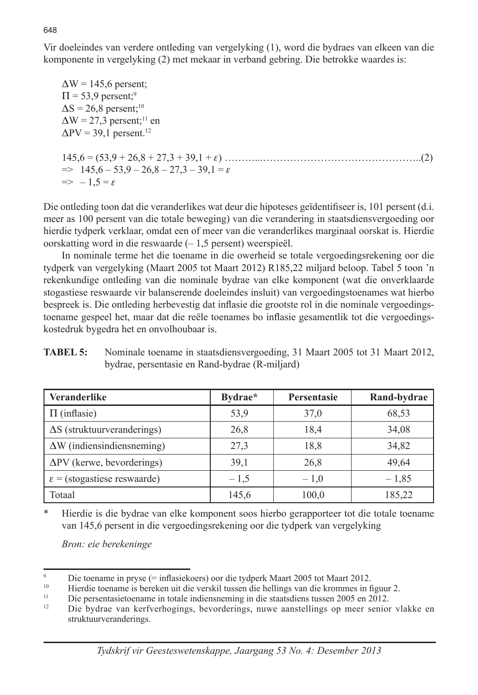Vir doeleindes van verdere ontleding van vergelyking (1), word die bydraes van elkeen van die komponente in vergelyking (2) met mekaar in verband gebring. Die betrokke waardes is:

 $\Delta W = 145.6$  persent;  $\Pi$  = 53,9 persent;<sup>9</sup>  $\Delta S = 26.8$  persent;<sup>10</sup>  $\Delta W = 27.3$  persent;<sup>11</sup> en  $\Delta$ PV = 39,1 persent.<sup>12</sup> 145,6 = (53,9 + 26,8 + 27,3 + 39,1 + e) ………...………………………………………..(2)  $\Rightarrow$  145,6 – 53,9 – 26,8 – 27,3 – 39,1 =  $\varepsilon$  $\Rightarrow$  -1.5 =  $\varepsilon$ 

Die ontleding toon dat die veranderlikes wat deur die hipoteses geïdentifiseer is, 101 persent (d.i. meer as 100 persent van die totale beweging) van die verandering in staatsdiensvergoeding oor hierdie tydperk verklaar, omdat een of meer van die veranderlikes marginaal oorskat is. Hierdie oorskatting word in die reswaarde (– 1,5 persent) weerspieël.

In nominale terme het die toename in die owerheid se totale vergoedingsrekening oor die tydperk van vergelyking (Maart 2005 tot Maart 2012) R185,22 miljard beloop. Tabel 5 toon 'n rekenkundige ontleding van die nominale bydrae van elke komponent (wat die onverklaarde stogastiese reswaarde vir balanserende doeleindes insluit) van vergoedingstoenames wat hierbo bespreek is. Die ontleding herbevestig dat inflasie die grootste rol in die nominale vergoedingstoename gespeel het, maar dat die reële toenames bo inflasie gesamentlik tot die vergoedingskostedruk bygedra het en onvolhoubaar is.

| <b>TABEL 5:</b> | Nominale toename in staatsdiensvergoeding, 31 Maart 2005 tot 31 Maart 2012, |
|-----------------|-----------------------------------------------------------------------------|
|                 | bydrae, persentasie en Rand-bydrae (R-miljard)                              |

| <b>Veranderlike</b>                     | Bydrae* | <b>Persentasie</b> | Rand-bydrae |
|-----------------------------------------|---------|--------------------|-------------|
| $\Pi$ (inflasie)                        | 53,9    | 37,0               | 68,53       |
| $\Delta S$ (struktuurveranderings)      | 26,8    | 18,4               | 34,08       |
| $\Delta W$ (indiensindiensneming)       | 27,3    | 18,8               | 34,82       |
| $\Delta$ PV (kerwe, bevorderings)       | 39,1    | 26,8               | 49,64       |
| $\varepsilon$ = (stogastiese reswaarde) | $-1.5$  | $-1.0$             | $-1,85$     |
| Totaal                                  | 145,6   | 100,0              | 185,22      |

\* Hierdie is die bydrae van elke komponent soos hierbo gerapporteer tot die totale toename van 145,6 persent in die vergoedingsrekening oor die tydperk van vergelyking

*Bron: eie berekeninge*

648

<sup>9</sup> Die toename in pryse (= inflasiekoers) oor die tydperk Maart 2005 tot Maart 2012.

<sup>10</sup> Hierdie toename is bereken uit die verskil tussen die hellings van die krommes in figuur 2.<br>11 Die persontosiste van die hellingsnaming in die staatsdiens tussen 2005 en 2012

 $11$  Die persentasietoename in totale indiensneming in die staatsdiens tussen 2005 en 2012.<br> $12$  Die hydrog van kerfverhooings, hevorderings, nuwe aantallings op meer senior

<sup>12</sup> Die bydrae van kerfverhogings, bevorderings, nuwe aanstellings op meer senior vlakke en struktuurveranderings.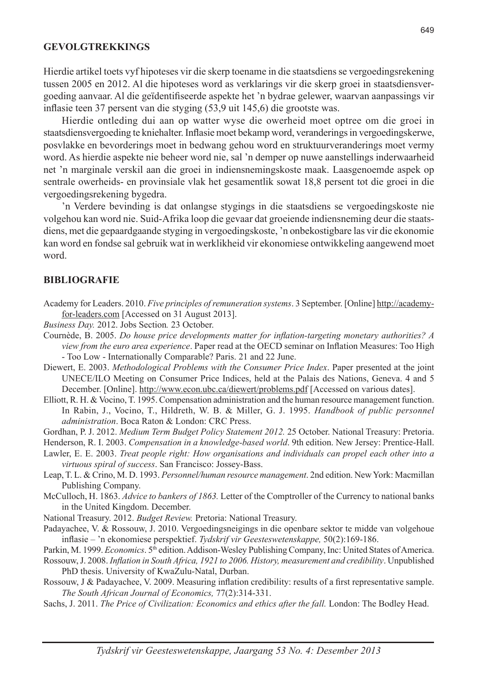### **GEVOLGTREKKINGS**

Hierdie artikel toets vyf hipoteses vir die skerp toename in die staatsdiens se vergoedingsrekening tussen 2005 en 2012. Al die hipoteses word as verklarings vir die skerp groei in staatsdiensvergoeding aanvaar. Al die geïdentifiseerde aspekte het 'n bydrae gelewer, waarvan aanpassings vir inflasie teen 37 persent van die styging (53,9 uit 145,6) die grootste was.

Hierdie ontleding dui aan op watter wyse die owerheid moet optree om die groei in staatsdiensvergoeding te kniehalter. Inflasie moet bekamp word, veranderings in vergoedingskerwe, posvlakke en bevorderings moet in bedwang gehou word en struktuurveranderings moet vermy word. As hierdie aspekte nie beheer word nie, sal 'n demper op nuwe aanstellings inderwaarheid net 'n marginale verskil aan die groei in indiensnemingskoste maak. Laasgenoemde aspek op sentrale owerheids- en provinsiale vlak het gesamentlik sowat 18,8 persent tot die groei in die vergoedingsrekening bygedra.

'n Verdere bevinding is dat onlangse stygings in die staatsdiens se vergoedingskoste nie volgehou kan word nie. Suid-Afrika loop die gevaar dat groeiende indiensneming deur die staatsdiens, met die gepaardgaande styging in vergoedingskoste, 'n onbekostigbare las vir die ekonomie kan word en fondse sal gebruik wat in werklikheid vir ekonomiese ontwikkeling aangewend moet word.

### **BIBLIOGRAFIE**

- Academy for Leaders. 2010. *Five principles of remuneration systems*. 3 September. [Online] http://academyfor-leaders.com [Accessed on 31 August 2013].
- *Business Day.* 2012. Jobs Section*.* 23 October.
- Cournède, B. 2005. *Do house price developments matter for inflation-targeting monetary authorities? A view from the euro area experience*. Paper read at the OECD seminar on Inflation Measures: Too High - Too Low - Internationally Comparable? Paris. 21 and 22 June.
- Diewert, E. 2003. *Methodological Problems with the Consumer Price Index*. Paper presented at the joint UNECE/ILO Meeting on Consumer Price Indices, held at the Palais des Nations, Geneva. 4 and 5 December. [Online]. http://www.econ.ubc.ca/diewert/problems.pdf [Accessed on various dates].
- Elliott, R. H. & Vocino, T. 1995. Compensation administration and the human resource management function. In Rabin, J., Vocino, T., Hildreth, W. B. & Miller, G. J. 1995. *Handbook of public personnel administration*. Boca Raton & London: CRC Press.
- Gordhan, P. J. 2012. *Medium Term Budget Policy Statement 2012.* 25 October. National Treasury: Pretoria.
- Henderson, R. I. 2003. *Compensation in a knowledge-based world*. 9th edition. New Jersey: Prentice-Hall.
- Lawler, E. E. 2003. *Treat people right: How organisations and individuals can propel each other into a virtuous spiral of success*. San Francisco: Jossey-Bass.
- Leap, T. L. & Crino, M. D. 1993. *Personnel/human resource management*. 2nd edition. New York: Macmillan Publishing Company.
- McCulloch, H. 1863. *Advice to bankers of 1863.* Letter of the Comptroller of the Currency to national banks in the United Kingdom. December.
- National Treasury. 2012. *Budget Review.* Pretoria: National Treasury.
- Padayachee, V. & Rossouw, J. 2010. Vergoedingsneigings in die openbare sektor te midde van volgehoue inflasie – 'n ekonomiese perspektief. *Tydskrif vir Geesteswetenskappe,* 50(2):169-186.
- Parkin, M. 1999. *Economics*. 5<sup>th</sup> edition. Addison-Wesley Publishing Company, Inc: United States of America.
- Rossouw, J. 2008. *Inflation in South Africa, 1921 to 2006. History, measurement and credibility*. Unpublished PhD thesis. University of KwaZulu-Natal, Durban.
- Rossouw, J & Padayachee, V. 2009. Measuring inflation credibility: results of a first representative sample. *The South African Journal of Economics,* 77(2):314-331.
- Sachs, J. 2011. *The Price of Civilization: Economics and ethics after the fall.* London: The Bodley Head.